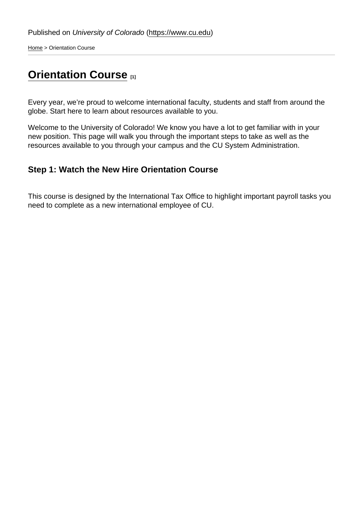[Home](https://www.cu.edu/) > Orientation Course

# **[Orientation Course](https://www.cu.edu/employee-services/international-tax/international-employees/orientation-course)**

Every year, we're proud to welcome international faculty, students and staff from around the globe. Start here to learn about resources available to you.

Welcome to the University of Colorado! We know you have a lot to get familiar with in your new position. This page will walk you through the important steps to take as well as the resources available to you through your campus and the CU System Administration.

## Step 1: Watch the New Hire Orientation Course

This course is designed by the International Tax Office to highlight important payroll tasks you need to complete as a new international employee of CU.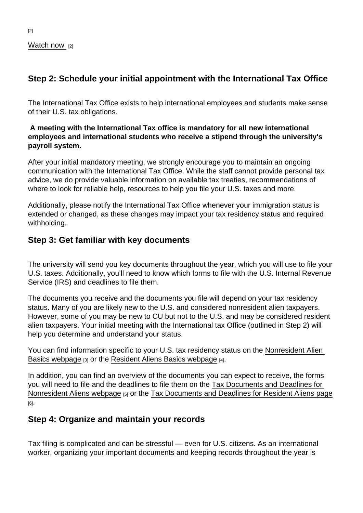#### [Watch now](https://www.cusys.edu/plans/2022/international-tax_new-hire/presentation_html5.html) [2]

## Step 2: Schedule your initial appointment with the International Tax Office

The International Tax Office exists to help international employees and students make sense of their U.S. tax obligations.

A meeting with the International Tax office is mandatory for all new international employees and international students who receive a stipend through the university's payroll system.

After your initial mandatory meeting, we strongly encourage you to maintain an ongoing communication with the International Tax Office. While the staff cannot provide personal tax advice, we do provide valuable information on available tax treaties, recommendations of where to look for reliable help, resources to help you file your U.S. taxes and more.

Additionally, please notify the International Tax Office whenever your immigration status is extended or changed, as these changes may impact your tax residency status and required withholding.

### Step 3: Get familiar with key documents

The university will send you key documents throughout the year, which you will use to file your U.S. taxes. Additionally, you'll need to know which forms to file with the U.S. Internal Revenue Service (IRS) and deadlines to file them.

The documents you receive and the documents you file will depend on your tax residency status. Many of you are likely new to the U.S. and considered nonresident alien taxpayers. However, some of you may be new to CU but not to the U.S. and may be considered resident alien taxpayers. Your initial meeting with the International tax Office (outlined in Step 2) will help you determine and understand your status.

You can find information specific to your U.S. tax residency status on the [Nonresident Alien](https://www.cu.edu/employee-services/nonresident-alien)  [Basics webpage](https://www.cu.edu/employee-services/nonresident-alien) [3] or the [Resident Aliens Basics webpage](https://www.cu.edu/employee-services/international-tax/international-employees/resident-aliens) [4].

In addition, you can find an overview of the documents you can expect to receive, the forms you will need to file and the deadlines to file them on the [Tax Documents and Deadlines for](https://www.cu.edu/employee-services/international-tax/international-employees/nonresident-alien-basics/tax-documents)  [Nonresident Aliens webpage](https://www.cu.edu/employee-services/international-tax/international-employees/nonresident-alien-basics/tax-documents) [5] or the [Tax Documents and Deadlines for Resident Aliens page](https://www.cu.edu/employee-services/international-tax/international-employees/resident-alien-basics/tax-documents) [6].

### Step 4: Organize and maintain your records

Tax filing is complicated and can be stressful — even for U.S. citizens. As an international worker, organizing your important documents and keeping records throughout the year is